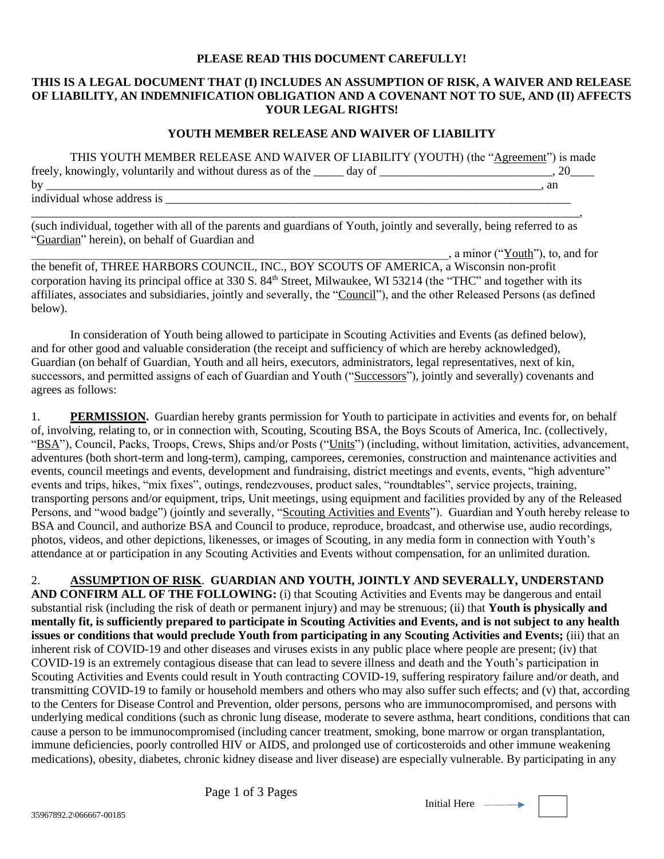## **PLEASE READ THIS DOCUMENT CAREFULLY!**

## **THIS IS A LEGAL DOCUMENT THAT (I) INCLUDES AN ASSUMPTION OF RISK, A WAIVER AND RELEASE OF LIABILITY, AN INDEMNIFICATION OBLIGATION AND A COVENANT NOT TO SUE, AND (II) AFFECTS YOUR LEGAL RIGHTS!**

## **YOUTH MEMBER RELEASE AND WAIVER OF LIABILITY**

THIS YOUTH MEMBER RELEASE AND WAIVER OF LIABILITY (YOUTH) (the "Agreement") is made freely, knowingly, voluntarily and without duress as of the \_\_\_\_\_ day of \_\_\_\_\_\_\_\_\_\_\_\_\_\_\_\_\_\_\_\_\_\_\_, 20\_\_\_\_\_\_\_\_\_\_ by \_\_\_\_\_\_\_\_\_\_\_\_\_\_\_\_\_\_\_\_\_\_\_\_\_\_\_\_\_\_\_\_\_\_\_\_\_\_\_\_\_\_\_\_\_\_\_\_\_\_\_\_\_\_\_\_\_\_\_\_\_\_\_\_\_\_\_\_\_\_\_\_\_\_\_\_\_\_\_\_\_\_\_, an individual whose address is

\_\_\_\_\_\_\_\_\_\_\_\_\_\_\_\_\_\_\_\_\_\_\_\_\_\_\_\_\_\_\_\_\_\_\_\_\_\_\_\_\_\_\_\_\_\_\_\_\_\_\_\_\_\_\_\_\_\_\_\_\_\_\_\_\_\_\_\_\_\_\_\_\_\_\_\_\_\_\_\_\_\_\_\_\_\_\_\_\_\_\_\_, (such individual, together with all of the parents and guardians of Youth, jointly and severally, being referred to as "Guardian" herein), on behalf of Guardian and

 $\Box$ , a minor ("Youth"), to, and for the benefit of, THREE HARBORS COUNCIL, INC., BOY SCOUTS OF AMERICA, a Wisconsin non-profit corporation having its principal office at 330 S. 84<sup>th</sup> Street, Milwaukee, WI 53214 (the "THC" and together with its affiliates, associates and subsidiaries, jointly and severally, the "Council"), and the other Released Persons (as defined below).

In consideration of Youth being allowed to participate in Scouting Activities and Events (as defined below), and for other good and valuable consideration (the receipt and sufficiency of which are hereby acknowledged), Guardian (on behalf of Guardian, Youth and all heirs, executors, administrators, legal representatives, next of kin, successors, and permitted assigns of each of Guardian and Youth ("Successors"), jointly and severally) covenants and agrees as follows:

1. **PERMISSION.** Guardian hereby grants permission for Youth to participate in activities and events for, on behalf of, involving, relating to, or in connection with, Scouting, Scouting BSA, the Boys Scouts of America, Inc. (collectively, "BSA"), Council, Packs, Troops, Crews, Ships and/or Posts ("Units") (including, without limitation, activities, advancement, adventures (both short-term and long-term), camping, camporees, ceremonies, construction and maintenance activities and events, council meetings and events, development and fundraising, district meetings and events, events, "high adventure" events and trips, hikes, "mix fixes", outings, rendezvouses, product sales, "roundtables", service projects, training, transporting persons and/or equipment, trips, Unit meetings, using equipment and facilities provided by any of the Released Persons, and "wood badge") (jointly and severally, "Scouting Activities and Events"). Guardian and Youth hereby release to BSA and Council, and authorize BSA and Council to produce, reproduce, broadcast, and otherwise use, audio recordings, photos, videos, and other depictions, likenesses, or images of Scouting, in any media form in connection with Youth's attendance at or participation in any Scouting Activities and Events without compensation, for an unlimited duration.

2. **ASSUMPTION OF RISK**. **GUARDIAN AND YOUTH, JOINTLY AND SEVERALLY, UNDERSTAND AND CONFIRM ALL OF THE FOLLOWING:** (i) that Scouting Activities and Events may be dangerous and entail substantial risk (including the risk of death or permanent injury) and may be strenuous; (ii) that **Youth is physically and mentally fit, is sufficiently prepared to participate in Scouting Activities and Events, and is not subject to any health issues or conditions that would preclude Youth from participating in any Scouting Activities and Events;** (iii) that an inherent risk of COVID-19 and other diseases and viruses exists in any public place where people are present; (iv) that COVID-19 is an extremely contagious disease that can lead to severe illness and death and the Youth's participation in Scouting Activities and Events could result in Youth contracting COVID-19, suffering respiratory failure and/or death, and transmitting COVID-19 to family or household members and others who may also suffer such effects; and (v) that, according to the Centers for Disease Control and Prevention, older persons, persons who are immunocompromised, and persons with underlying medical conditions (such as chronic lung disease, moderate to severe asthma, heart conditions, conditions that can cause a person to be immunocompromised (including cancer treatment, smoking, bone marrow or organ transplantation, immune deficiencies, poorly controlled HIV or AIDS, and prolonged use of corticosteroids and other immune weakening medications), obesity, diabetes, chronic kidney disease and liver disease) are especially vulnerable. By participating in any

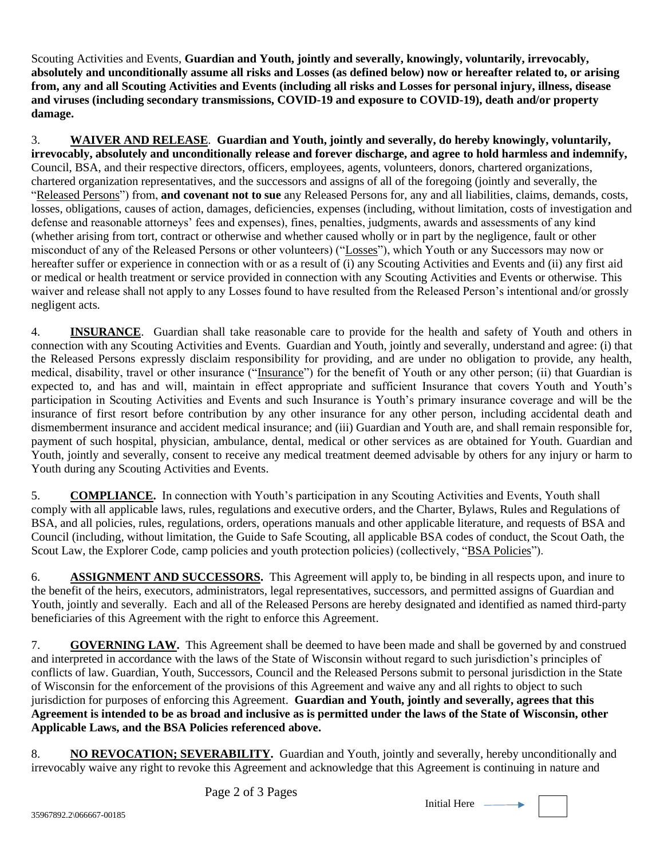Scouting Activities and Events, **Guardian and Youth, jointly and severally, knowingly, voluntarily, irrevocably, absolutely and unconditionally assume all risks and Losses (as defined below) now or hereafter related to, or arising from, any and all Scouting Activities and Events (including all risks and Losses for personal injury, illness, disease and viruses (including secondary transmissions, COVID-19 and exposure to COVID-19), death and/or property damage.**

3. **WAIVER AND RELEASE**. **Guardian and Youth, jointly and severally, do hereby knowingly, voluntarily, irrevocably, absolutely and unconditionally release and forever discharge, and agree to hold harmless and indemnify,** Council, BSA, and their respective directors, officers, employees, agents, volunteers, donors, chartered organizations, chartered organization representatives, and the successors and assigns of all of the foregoing (jointly and severally, the "Released Persons") from, **and covenant not to sue** any Released Persons for, any and all liabilities, claims, demands, costs, losses, obligations, causes of action, damages, deficiencies, expenses (including, without limitation, costs of investigation and defense and reasonable attorneys' fees and expenses), fines, penalties, judgments, awards and assessments of any kind (whether arising from tort, contract or otherwise and whether caused wholly or in part by the negligence, fault or other misconduct of any of the Released Persons or other volunteers) ("Losses"), which Youth or any Successors may now or hereafter suffer or experience in connection with or as a result of (i) any Scouting Activities and Events and (ii) any first aid or medical or health treatment or service provided in connection with any Scouting Activities and Events or otherwise. This waiver and release shall not apply to any Losses found to have resulted from the Released Person's intentional and/or grossly negligent acts.

4. **INSURANCE**. Guardian shall take reasonable care to provide for the health and safety of Youth and others in connection with any Scouting Activities and Events. Guardian and Youth, jointly and severally, understand and agree: (i) that the Released Persons expressly disclaim responsibility for providing, and are under no obligation to provide, any health, medical, disability, travel or other insurance ("Insurance") for the benefit of Youth or any other person; (ii) that Guardian is expected to, and has and will, maintain in effect appropriate and sufficient Insurance that covers Youth and Youth's participation in Scouting Activities and Events and such Insurance is Youth's primary insurance coverage and will be the insurance of first resort before contribution by any other insurance for any other person, including accidental death and dismemberment insurance and accident medical insurance; and (iii) Guardian and Youth are, and shall remain responsible for, payment of such hospital, physician, ambulance, dental, medical or other services as are obtained for Youth. Guardian and Youth, jointly and severally, consent to receive any medical treatment deemed advisable by others for any injury or harm to Youth during any Scouting Activities and Events.

5. **COMPLIANCE.** In connection with Youth's participation in any Scouting Activities and Events, Youth shall comply with all applicable laws, rules, regulations and executive orders, and the Charter, Bylaws, Rules and Regulations of BSA, and all policies, rules, regulations, orders, operations manuals and other applicable literature, and requests of BSA and Council (including, without limitation, the Guide to Safe Scouting, all applicable BSA codes of conduct, the Scout Oath, the Scout Law, the Explorer Code, camp policies and youth protection policies) (collectively, "BSA Policies").

6. **ASSIGNMENT AND SUCCESSORS.** This Agreement will apply to, be binding in all respects upon, and inure to the benefit of the heirs, executors, administrators, legal representatives, successors, and permitted assigns of Guardian and Youth, jointly and severally. Each and all of the Released Persons are hereby designated and identified as named third-party beneficiaries of this Agreement with the right to enforce this Agreement.

7. **GOVERNING LAW.** This Agreement shall be deemed to have been made and shall be governed by and construed and interpreted in accordance with the laws of the State of Wisconsin without regard to such jurisdiction's principles of conflicts of law. Guardian, Youth, Successors, Council and the Released Persons submit to personal jurisdiction in the State of Wisconsin for the enforcement of the provisions of this Agreement and waive any and all rights to object to such jurisdiction for purposes of enforcing this Agreement. **Guardian and Youth, jointly and severally, agrees that this Agreement is intended to be as broad and inclusive as is permitted under the laws of the State of Wisconsin, other Applicable Laws, and the BSA Policies referenced above.**

8. **NO REVOCATION; SEVERABILITY.** Guardian and Youth, jointly and severally, hereby unconditionally and irrevocably waive any right to revoke this Agreement and acknowledge that this Agreement is continuing in nature and